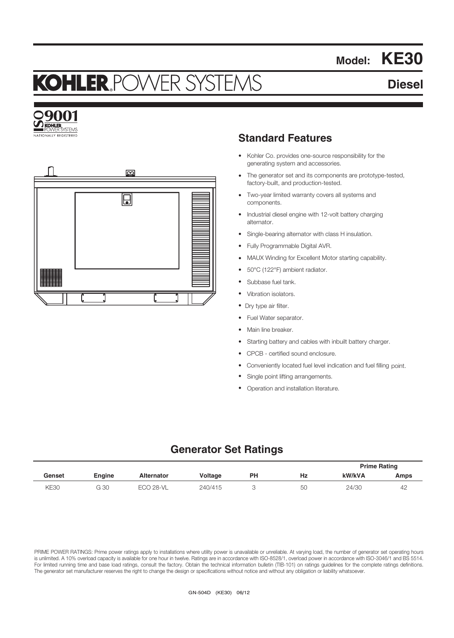# KOHLER,POWER SYSTEM

# **Diesel**

**Model: KE30**





## **Standard Features**

- Kohler Co. provides one-source responsibility for the generating system and accessories.
- The generator set and its components are prototype-tested, factory-built, and production-tested.
- Two-year limited warranty covers all systems and components.
- Industrial diesel engine with 12-volt battery charging alternator.
- Single-bearing alternator with class H insulation.
- Fully Programmable Digital AVR.
- MAUX Winding for Excellent Motor starting capability.
- 50°C (122°F) ambient radiator.
- Subbase fuel tank.
- Vibration isolators.
- Dry type air filter.
- Fuel Water separator.
- Main line breaker.
- Starting battery and cables with inbuilt battery charger.
- CPCB certified sound enclosure.
- Conveniently located fuel level indication and fuel filling point.
- Single point lifting arrangements.
- Operation and installation literature.

## **Generator Set Ratings**

|             |        |                   |                |    |    | <b>Prime Rating</b> |      |
|-------------|--------|-------------------|----------------|----|----|---------------------|------|
| Genset      | Engine | <b>Alternator</b> | <b>Voltage</b> | PH | Hz | kW/kVA              | Amps |
| <b>KE30</b> | G 30   | ECO 28-VL         | 240/415        |    | 50 | 24/30               | 42   |

PRIME POWER RATINGS: Prime power ratings apply to installations where utility power is unavailable or unreliable. At varying load, the number of generator set operating hours is unlimited. A 10% overload capacity is available for one hour in twelve. Ratings are in accordance with ISO-8528/1, overload power in accordance with ISO-3046/1 and BS 5514. For limited running time and base load ratings, consult the factory. Obtain the technical information bulletin (TIB-101) on ratings guidelines for the complete ratings definitions. The generator set manufacturer reserves the right to change the design or specifications without notice and without any obligation or liability whatsoever.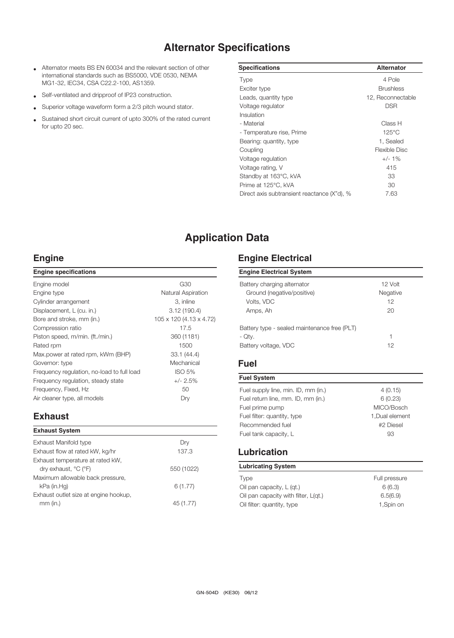# **Alternator Specifications**

- Alternator meets BS EN 60034 and the relevant section of other international standards such as BS5000, VDE 0530, NEMA MG1-32, IEC34, CSA C22.2-100, AS1359.
- Self-ventilated and dripproof of IP23 construction.
- Superior voltage waveform form a 2/3 pitch wound stator.
- Sustained short circuit current of upto 300% of the rated current for upto 20 sec.

| <b>Specifications</b>                       | <b>Alternator</b> |
|---------------------------------------------|-------------------|
| <b>Type</b>                                 | 4 Pole            |
| Exciter type                                | <b>Brushless</b>  |
| Leads, quantity type                        | 12, Reconnectable |
| Voltage regulator                           | <b>DSR</b>        |
| Insulation                                  |                   |
| - Material                                  | Class H           |
| - Temperature rise, Prime                   | $125^{\circ}$ C   |
| Bearing: quantity, type                     | 1, Sealed         |
| Coupling                                    | Flexible Disc     |
| Voltage regulation                          | $+/-1\%$          |
| Voltage rating, V                           | 415               |
| Standby at 163°C, kVA                       | 33                |
| Prime at 125°C, kVA                         | 30                |
| Direct axis subtransient reactance (X"d), % | 7.63              |

# **Application Data**

#### **Engine**

| <b>Engine specifications</b>               |                           |
|--------------------------------------------|---------------------------|
| Engine model                               | G30                       |
| Engine type                                | <b>Natural Aspiration</b> |
| Cylinder arrangement                       | 3, inline                 |
| Displacement, L (cu. in.)                  | 3.12(190.4)               |
| Bore and stroke, mm (in.)                  | 105 x 120 (4.13 x 4.72)   |
| Compression ratio                          | 17.5                      |
| Piston speed, m/min. (ft./min.)            | 360 (1181)                |
| Rated rpm                                  | 1500                      |
| Max.power at rated rpm, kWm (BHP)          | 33.1(44.4)                |
| Governor: type                             | Mechanical                |
| Frequency regulation, no-load to full load | <b>ISO 5%</b>             |
| Frequency regulation, steady state         | $+/- 2.5%$                |
| Frequency, Fixed, Hz                       | 50                        |
| Air cleaner type, all models               | Dry                       |
|                                            |                           |

## **Exhaust**

| <b>Exhaust System</b>                 |            |
|---------------------------------------|------------|
| Exhaust Manifold type                 | Drv        |
| Exhaust flow at rated kW, kg/hr       | 137.3      |
| Exhaust temperature at rated kW,      |            |
| dry exhaust, °C (°F)                  | 550 (1022) |
| Maximum allowable back pressure,      |            |
| kPa (in.Hq)                           | 6(1.77)    |
| Exhaust outlet size at engine hookup, |            |
| $mm$ (in.)                            | 45 (1.77)  |
|                                       |            |

### **Engine Electrical**

| <b>Engine Electrical System</b>                           |                       |  |  |
|-----------------------------------------------------------|-----------------------|--|--|
| Battery charging alternator<br>Ground (negative/positive) | $12$ Volt<br>Negative |  |  |
| Volts, VDC                                                | 12                    |  |  |
| Amps, Ah                                                  | 20                    |  |  |
| Battery type - sealed maintenance free (PLT)              |                       |  |  |
| - Qty.                                                    | 1                     |  |  |
| Battery voltage, VDC                                      | 12                    |  |  |

### **Fuel**

| 4(0.15)         |
|-----------------|
| 6(0.23)         |
| MICO/Bosch      |
| 1, Dual element |
| #2 Diesel       |
| 93              |
|                 |

#### **Lubrication**

| <b>Lubricating System</b>            |               |  |  |
|--------------------------------------|---------------|--|--|
| <b>Type</b>                          | Full pressure |  |  |
| Oil pan capacity, L (gt.)            | 6(6.3)        |  |  |
| Oil pan capacity with filter, L(qt.) | 6.5(6.9)      |  |  |
| Oil filter: quantity, type           | 1,Spin on     |  |  |
|                                      |               |  |  |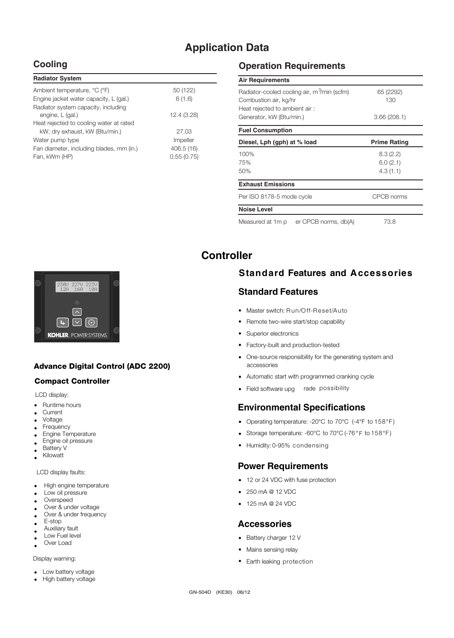# **Application Data**

## **Cooling**

| 50 (122)    |
|-------------|
| 6(1.6)      |
|             |
| 12.4 (3.28) |
|             |
| 27.03       |
| Impeller    |
| 406.5 (16)  |
| 0.55(0.75)  |
|             |

## **Operation Requirements**

| <b>Air Requirements</b>                                                          |                     |
|----------------------------------------------------------------------------------|---------------------|
| Radiator-cooled cooling air, m <sup>3</sup> /min (scfm)<br>Combustion air, kg/hr | 65 (2292)<br>130    |
| Heat rejected to ambient air:                                                    |                     |
| Generator, kW (Btu/min.)                                                         | 3.66(208.1)         |
| <b>Fuel Consumption</b>                                                          |                     |
| Diesel, Lph (gph) at % load                                                      | <b>Prime Rating</b> |
| 100%                                                                             | 8.3(2.2)            |
| 75%                                                                              | 6.0(2.1)            |
| 50%                                                                              | 4.3(1.1)            |
| <b>Exhaust Emissions</b>                                                         |                     |
| Per ISO 8178-5 mode cycle                                                        | CPCB norms          |
| <b>Noise Level</b>                                                               |                     |
| Measured at 1m p<br>er CPCB norms, db(A)                                         | 73.8                |

## **Controller**



#### Advance Digital Control (ADC 2200)

#### Compact Controller

LCD display:

- Runtime hours
- **Current** • Current<br>• Voltage
- •
- Frequency
- Engine Temperature Engine oil pressure •
- Battery V •
- Kilowatt • •

LCD display faults:

- High engine temperature
- Low oil pressure •
- **Overspeed** •
- Over & under voltage Over & under frequency •
- E-stop •
- •
- Auxiliary fault Low Fuel level •
- Over Load • •

Display warning:

- Low battery voltage •
- High battery voltage •

## **Standard Features and Accessories**

## **Standard Features**

- Master switch: Run/Off-Reset/Auto
- Remote two-wire start/stop capability
- Superior electronics
- Factory-built and production-tested
- One-source responsibility for the generating system and accessories
- Automatic start with programmed cranking cycle
- Field software upg rade possibility

## **Environmental Specifications**

- Operating temperature: -20°C to 70°C (-4°F to 158°F )
- Storage temperature: -60°C to 70°C (-76°F to 158°F)
- Humidity: 0-95% condensing

#### **Power Requirements**

- 12 or 24 VDC with fuse protection
- 250 mA @ 12 VDC
- 125 mA @ 24 VDC

#### **Accessories**

- Battery charger 12 V
- Mains sensing relay
- Earth leaking protection